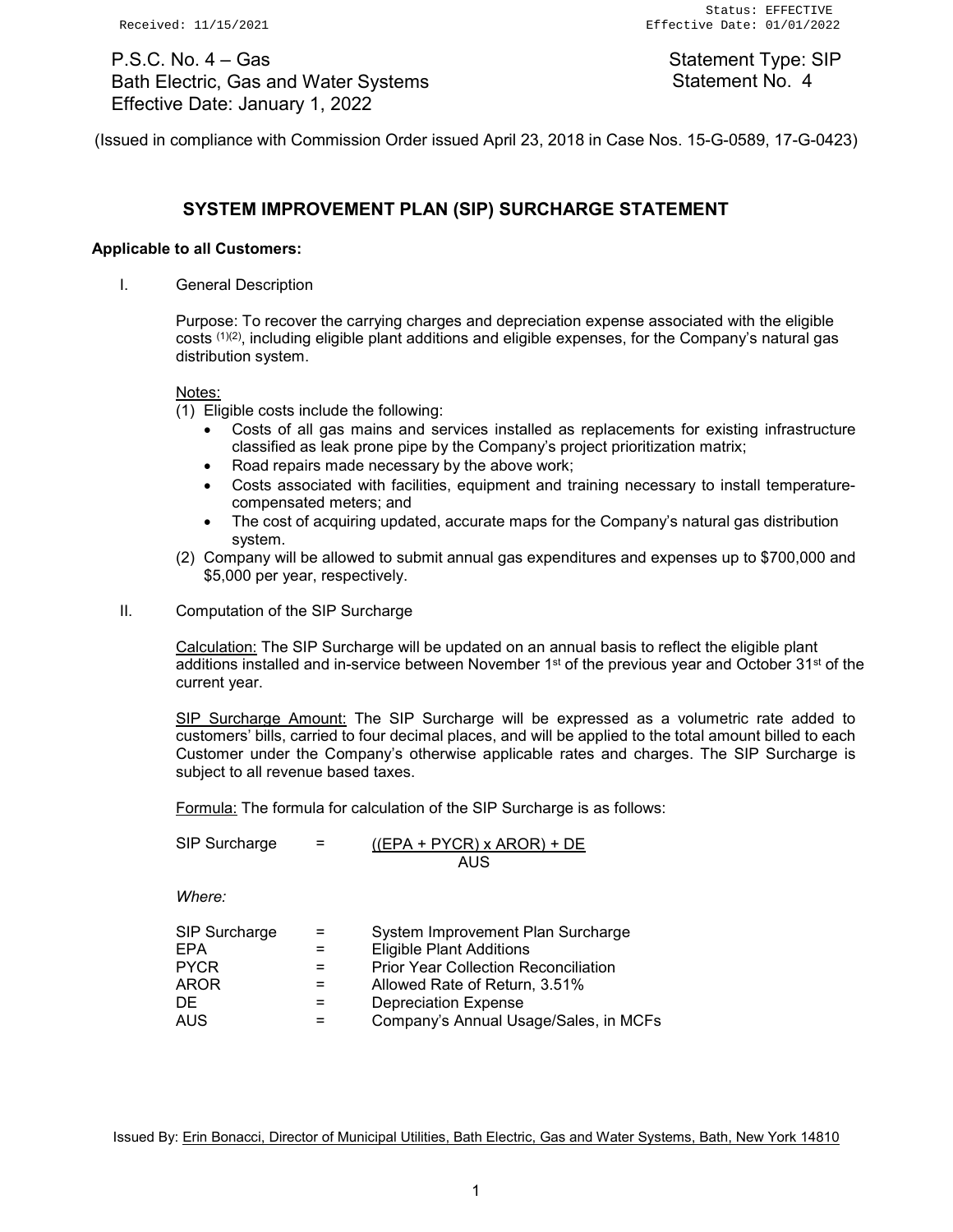P.S.C. No. 4 – Gas Bath Electric, Gas and Water Systems Effective Date: January 1, 2022

Statement Type: SIP Statement No. 4

(Issued in compliance with Commission Order issued April 23, 2018 in Case Nos. 15-G-0589, 17-G-0423)

# **SYSTEM IMPROVEMENT PLAN (SIP) SURCHARGE STATEMENT**

## **Applicable to all Customers:**

I. General Description

Purpose: To recover the carrying charges and depreciation expense associated with the eligible costs (1)(2), including eligible plant additions and eligible expenses, for the Company's natural gas distribution system.

#### Notes:

(1) Eligible costs include the following:

- Costs of all gas mains and services installed as replacements for existing infrastructure classified as leak prone pipe by the Company's project prioritization matrix;
- Road repairs made necessary by the above work;
- Costs associated with facilities, equipment and training necessary to install temperaturecompensated meters; and
- The cost of acquiring updated, accurate maps for the Company's natural gas distribution system.
- (2) Company will be allowed to submit annual gas expenditures and expenses up to \$700,000 and \$5,000 per year, respectively.
- II. Computation of the SIP Surcharge

Calculation: The SIP Surcharge will be updated on an annual basis to reflect the eligible plant additions installed and in-service between November  $1<sup>st</sup>$  of the previous year and October 31<sup>st</sup> of the current year.

SIP Surcharge Amount: The SIP Surcharge will be expressed as a volumetric rate added to customers' bills, carried to four decimal places, and will be applied to the total amount billed to each Customer under the Company's otherwise applicable rates and charges. The SIP Surcharge is subject to all revenue based taxes.

Formula: The formula for calculation of the SIP Surcharge is as follows:

SIP Surcharge  $=$  ((EPA + PYCR) x AROR) + DE AUS

*Where:*

| SIP Surcharge | $=$ | System Improvement Plan Surcharge           |
|---------------|-----|---------------------------------------------|
| EPA           | $=$ | <b>Eligible Plant Additions</b>             |
| <b>PYCR</b>   |     | <b>Prior Year Collection Reconciliation</b> |
| AROR          |     | Allowed Rate of Return, 3.51%               |
| DF.           | =   | <b>Depreciation Expense</b>                 |
| <b>AUS</b>    |     | Company's Annual Usage/Sales, in MCFs       |

Issued By: Erin Bonacci, Director of Municipal Utilities, Bath Electric, Gas and Water Systems, Bath, New York 14810